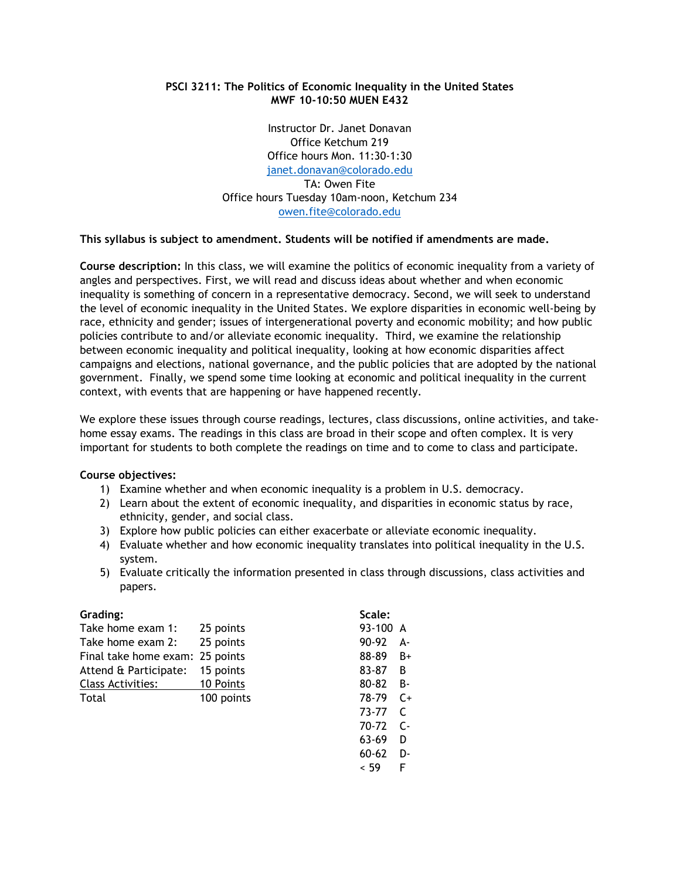# **PSCI 3211: The Politics of Economic Inequality in the United States MWF 10-10:50 MUEN E432**

Instructor Dr. Janet Donavan Office Ketchum 219 Office hours Mon. 11:30-1:30 [janet.donavan@colorado.edu](mailto:janet.donavan@colorado.edu) TA: Owen Fite Office hours Tuesday 10am-noon, Ketchum 234 [owen.fite@colorado.edu](mailto:owen.fite@colorado.edu)

**This syllabus is subject to amendment. Students will be notified if amendments are made.**

**Course description:** In this class, we will examine the politics of economic inequality from a variety of angles and perspectives. First, we will read and discuss ideas about whether and when economic inequality is something of concern in a representative democracy. Second, we will seek to understand the level of economic inequality in the United States. We explore disparities in economic well-being by race, ethnicity and gender; issues of intergenerational poverty and economic mobility; and how public policies contribute to and/or alleviate economic inequality. Third, we examine the relationship between economic inequality and political inequality, looking at how economic disparities affect campaigns and elections, national governance, and the public policies that are adopted by the national government. Finally, we spend some time looking at economic and political inequality in the current context, with events that are happening or have happened recently.

We explore these issues through course readings, lectures, class discussions, online activities, and takehome essay exams. The readings in this class are broad in their scope and often complex. It is very important for students to both complete the readings on time and to come to class and participate.

# **Course objectives:**

- 1) Examine whether and when economic inequality is a problem in U.S. democracy.
- 2) Learn about the extent of economic inequality, and disparities in economic status by race, ethnicity, gender, and social class.
- 3) Explore how public policies can either exacerbate or alleviate economic inequality.
- 4) Evaluate whether and how economic inequality translates into political inequality in the U.S. system.
- 5) Evaluate critically the information presented in class through discussions, class activities and papers.

| Grading:                        |            | Scale:    |           |
|---------------------------------|------------|-----------|-----------|
| Take home exam 1:               | 25 points  | 93-100    | A         |
| Take home exam 2:               | 25 points  | 90-92     | А-        |
| Final take home exam: 25 points |            | 88-89     | $B+$      |
| Attend & Participate:           | 15 points  | 83-87     | -B        |
| Class Activities:               | 10 Points  | 80-82     | <b>B-</b> |
| Total                           | 100 points | 78-79     | $C+$      |
|                                 |            | 73-77     | C         |
|                                 |            | 70-72     | $C -$     |
|                                 |            | 63-69     | D         |
|                                 |            | $60 - 62$ | D-        |
|                                 |            | < 59      | F         |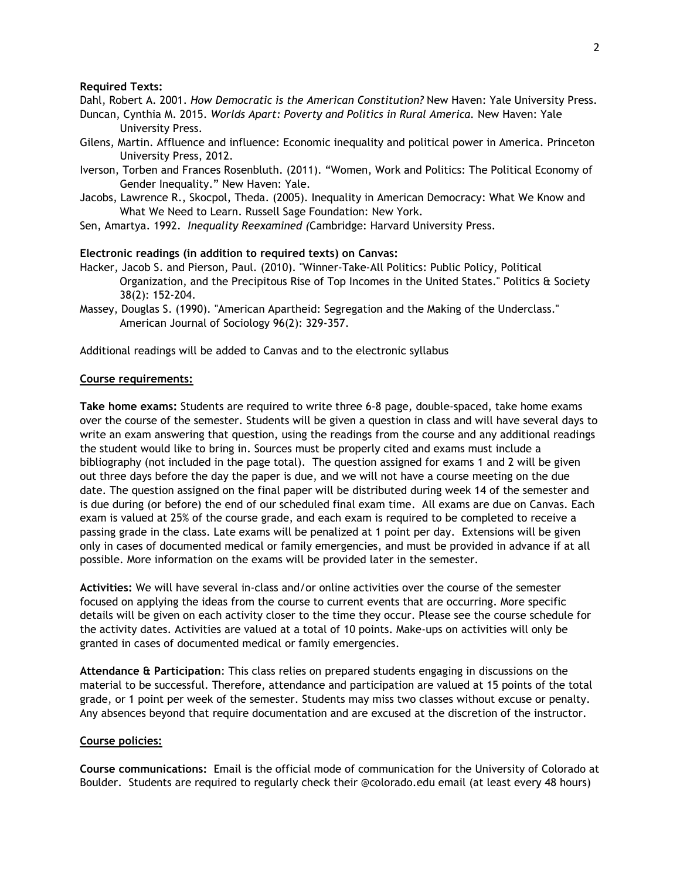## **Required Texts:**

Dahl, Robert A. 2001. *How Democratic is the American Constitution?* New Haven: Yale University Press.

- Duncan, Cynthia M. 2015. *Worlds Apart: Poverty and Politics in Rural America.* New Haven: Yale University Press.
- Gilens, Martin. Affluence and influence: Economic inequality and political power in America. Princeton University Press, 2012.
- Iverson, Torben and Frances Rosenbluth. (2011). "Women, Work and Politics: The Political Economy of Gender Inequality." New Haven: Yale.
- Jacobs, Lawrence R., Skocpol, Theda. (2005). Inequality in American Democracy: What We Know and What We Need to Learn. Russell Sage Foundation: New York.
- Sen, Amartya. 1992. *Inequality Reexamined (*Cambridge: Harvard University Press.

# **Electronic readings (in addition to required texts) on Canvas:**

- Hacker, Jacob S. and Pierson, Paul. (2010). "Winner-Take-All Politics: Public Policy, Political Organization, and the Precipitous Rise of Top Incomes in the United States." Politics & Society 38(2): 152-204.
- Massey, Douglas S. (1990). "American Apartheid: Segregation and the Making of the Underclass." American Journal of Sociology 96(2): 329-357.

Additional readings will be added to Canvas and to the electronic syllabus

# **Course requirements:**

**Take home exams:** Students are required to write three 6-8 page, double-spaced, take home exams over the course of the semester. Students will be given a question in class and will have several days to write an exam answering that question, using the readings from the course and any additional readings the student would like to bring in. Sources must be properly cited and exams must include a bibliography (not included in the page total). The question assigned for exams 1 and 2 will be given out three days before the day the paper is due, and we will not have a course meeting on the due date. The question assigned on the final paper will be distributed during week 14 of the semester and is due during (or before) the end of our scheduled final exam time. All exams are due on Canvas. Each exam is valued at 25% of the course grade, and each exam is required to be completed to receive a passing grade in the class. Late exams will be penalized at 1 point per day. Extensions will be given only in cases of documented medical or family emergencies, and must be provided in advance if at all possible. More information on the exams will be provided later in the semester.

**Activities:** We will have several in-class and/or online activities over the course of the semester focused on applying the ideas from the course to current events that are occurring. More specific details will be given on each activity closer to the time they occur. Please see the course schedule for the activity dates. Activities are valued at a total of 10 points. Make-ups on activities will only be granted in cases of documented medical or family emergencies.

**Attendance & Participation**: This class relies on prepared students engaging in discussions on the material to be successful. Therefore, attendance and participation are valued at 15 points of the total grade, or 1 point per week of the semester. Students may miss two classes without excuse or penalty. Any absences beyond that require documentation and are excused at the discretion of the instructor.

## **Course policies:**

**Course communications:** Email is the official mode of communication for the University of Colorado at Boulder. Students are required to regularly check their @colorado.edu email (at least every 48 hours)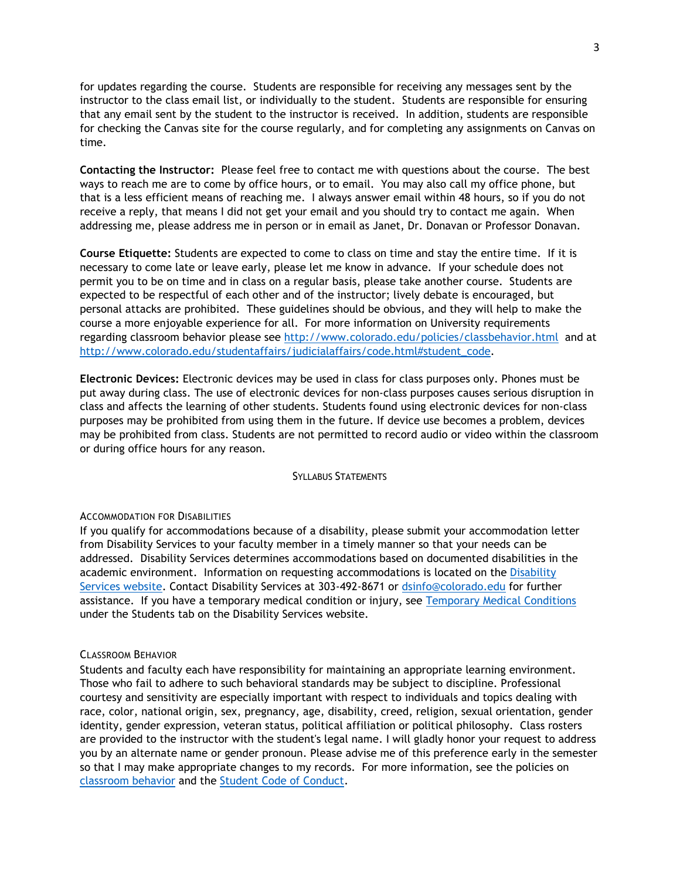for updates regarding the course. Students are responsible for receiving any messages sent by the instructor to the class email list, or individually to the student. Students are responsible for ensuring that any email sent by the student to the instructor is received. In addition, students are responsible for checking the Canvas site for the course regularly, and for completing any assignments on Canvas on time.

**Contacting the Instructor:** Please feel free to contact me with questions about the course. The best ways to reach me are to come by office hours, or to email. You may also call my office phone, but that is a less efficient means of reaching me. I always answer email within 48 hours, so if you do not receive a reply, that means I did not get your email and you should try to contact me again. When addressing me, please address me in person or in email as Janet, Dr. Donavan or Professor Donavan.

**Course Etiquette:** Students are expected to come to class on time and stay the entire time. If it is necessary to come late or leave early, please let me know in advance. If your schedule does not permit you to be on time and in class on a regular basis, please take another course. Students are expected to be respectful of each other and of the instructor; lively debate is encouraged, but personal attacks are prohibited. These guidelines should be obvious, and they will help to make the course a more enjoyable experience for all. For more information on University requirements regarding classroom behavior please see<http://www.colorado.edu/policies/classbehavior.html>and at [http://www.colorado.edu/studentaffairs/judicialaffairs/code.html#student\\_code.](http://www.colorado.edu/studentaffairs/judicialaffairs/code.html#student_code)

**Electronic Devices:** Electronic devices may be used in class for class purposes only. Phones must be put away during class. The use of electronic devices for non-class purposes causes serious disruption in class and affects the learning of other students. Students found using electronic devices for non-class purposes may be prohibited from using them in the future. If device use becomes a problem, devices may be prohibited from class. Students are not permitted to record audio or video within the classroom or during office hours for any reason.

### SYLLABUS STATEMENTS

#### ACCOMMODATION FOR DISABILITIES

If you qualify for accommodations because of a disability, please submit your accommodation letter from Disability Services to your faculty member in a timely manner so that your needs can be addressed. Disability Services determines accommodations based on documented disabilities in the academic environment. Information on requesting accommodations is located on the [Disability](http://www.colorado.edu/disabilityservices/students)  [Services website.](http://www.colorado.edu/disabilityservices/students) Contact Disability Services at 303-492-8671 or [dsinfo@colorado.edu](mailto:dsinfo@colorado.edu) for further assistance. If you have a temporary medical condition or injury, see [Temporary Medical Conditions](http://www.colorado.edu/disabilityservices/students/temporary-medical-conditions) under the Students tab on the Disability Services website.

#### CLASSROOM BEHAVIOR

Students and faculty each have responsibility for maintaining an appropriate learning environment. Those who fail to adhere to such behavioral standards may be subject to discipline. Professional courtesy and sensitivity are especially important with respect to individuals and topics dealing with race, color, national origin, sex, pregnancy, age, disability, creed, religion, sexual orientation, gender identity, gender expression, veteran status, political affiliation or political philosophy. Class rosters are provided to the instructor with the student's legal name. I will gladly honor your request to address you by an alternate name or gender pronoun. Please advise me of this preference early in the semester so that I may make appropriate changes to my records. For more information, see the policies on [classroom behavior](http://www.colorado.edu/policies/student-classroom-and-course-related-behavior) and the [Student Code of Conduct.](http://www.colorado.edu/osccr/)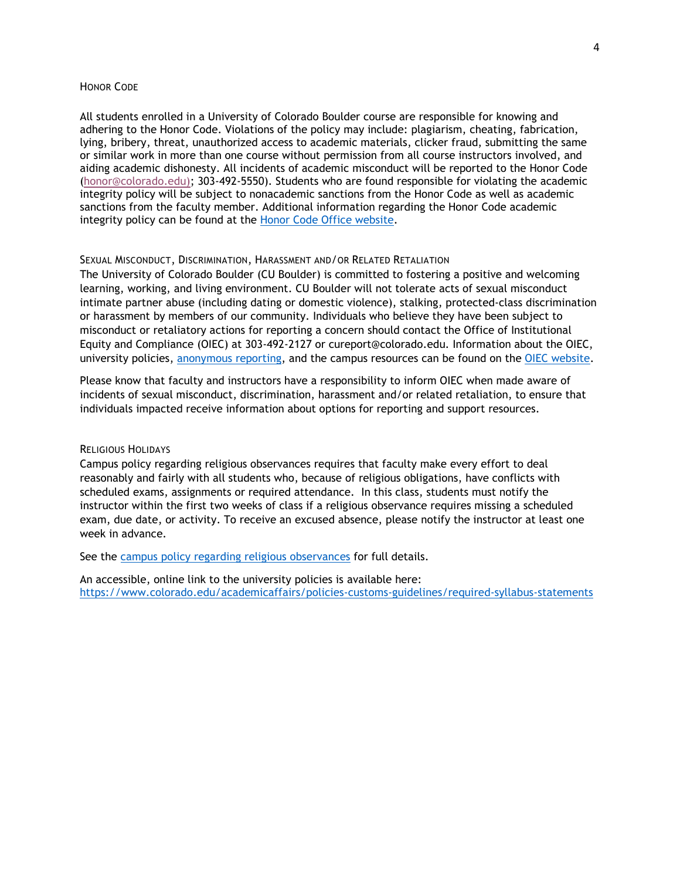## HONOR CODE

All students enrolled in a University of Colorado Boulder course are responsible for knowing and adhering to the Honor Code. Violations of the policy may include: plagiarism, cheating, fabrication, lying, bribery, threat, unauthorized access to academic materials, clicker fraud, submitting the same or similar work in more than one course without permission from all course instructors involved, and aiding academic dishonesty. All incidents of academic misconduct will be reported to the Honor Code [\(honor@colorado.edu\)](mailto:honor@colorado.edu); 303-492-5550). Students who are found responsible for violating the academic integrity policy will be subject to nonacademic sanctions from the Honor Code as well as academic sanctions from the faculty member. Additional information regarding the Honor Code academic integrity policy can be found at the [Honor Code Office website.](https://www.colorado.edu/osccr/honor-code)

#### SEXUAL MISCONDUCT, DISCRIMINATION, HARASSMENT AND/OR RELATED RETALIATION

The University of Colorado Boulder (CU Boulder) is committed to fostering a positive and welcoming learning, working, and living environment. CU Boulder will not tolerate acts of sexual misconduct intimate partner abuse (including dating or domestic violence), stalking, protected-class discrimination or harassment by members of our community. Individuals who believe they have been subject to misconduct or retaliatory actions for reporting a concern should contact the Office of Institutional Equity and Compliance (OIEC) at 303-492-2127 or cureport@colorado.edu. Information about the OIEC, university policies, [anonymous reporting,](https://cuboulder.qualtrics.com/jfe/form/SV_0PnqVK4kkIJIZnf) and the campus resources can be found on the [OIEC website.](http://www.colorado.edu/institutionalequity/)

Please know that faculty and instructors have a responsibility to inform OIEC when made aware of incidents of sexual misconduct, discrimination, harassment and/or related retaliation, to ensure that individuals impacted receive information about options for reporting and support resources.

# RELIGIOUS HOLIDAYS

Campus policy regarding religious observances requires that faculty make every effort to deal reasonably and fairly with all students who, because of religious obligations, have conflicts with scheduled exams, assignments or required attendance. In this class, students must notify the instructor within the first two weeks of class if a religious observance requires missing a scheduled exam, due date, or activity. To receive an excused absence, please notify the instructor at least one week in advance.

See the [campus policy regarding religious observances](http://www.colorado.edu/policies/observance-religious-holidays-and-absences-classes-andor-exams) for full details.

An accessible, online link to the university policies is available here: <https://www.colorado.edu/academicaffairs/policies-customs-guidelines/required-syllabus-statements>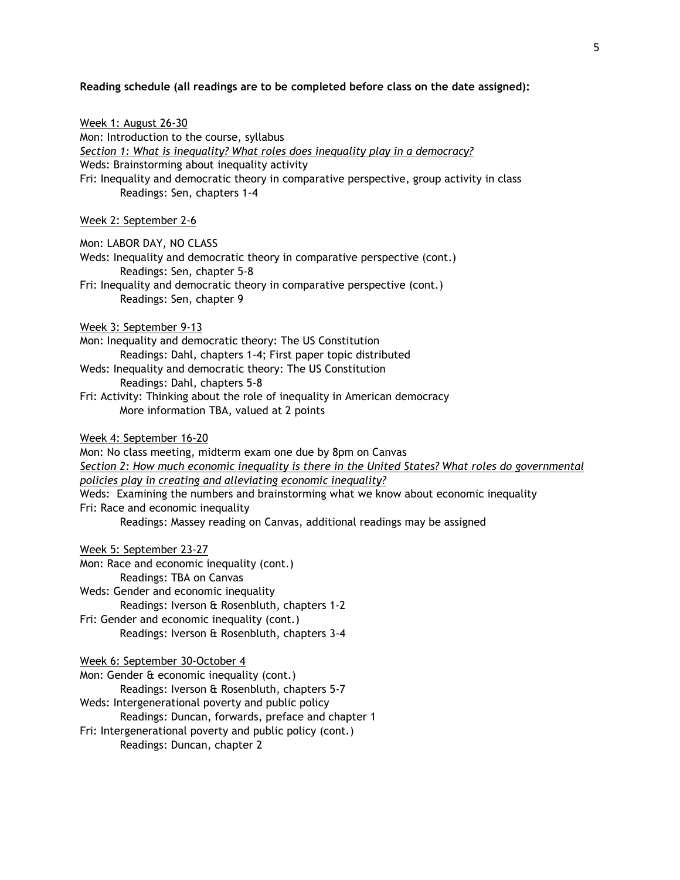**Reading schedule (all readings are to be completed before class on the date assigned):**

| Week 1: August 26-30<br>Mon: Introduction to the course, syllabus<br>Section 1: What is inequality? What roles does inequality play in a democracy?<br>Weds: Brainstorming about inequality activity<br>Fri: Inequality and democratic theory in comparative perspective, group activity in class<br>Readings: Sen, chapters 1-4                                                                                                                                       |
|------------------------------------------------------------------------------------------------------------------------------------------------------------------------------------------------------------------------------------------------------------------------------------------------------------------------------------------------------------------------------------------------------------------------------------------------------------------------|
| Week 2: September 2-6                                                                                                                                                                                                                                                                                                                                                                                                                                                  |
| Mon: LABOR DAY, NO CLASS<br>Weds: Inequality and democratic theory in comparative perspective (cont.)<br>Readings: Sen, chapter 5-8<br>Fri: Inequality and democratic theory in comparative perspective (cont.)<br>Readings: Sen, chapter 9                                                                                                                                                                                                                            |
| Week 3: September 9-13<br>Mon: Inequality and democratic theory: The US Constitution<br>Readings: Dahl, chapters 1-4; First paper topic distributed<br>Weds: Inequality and democratic theory: The US Constitution<br>Readings: Dahl, chapters 5-8<br>Fri: Activity: Thinking about the role of inequality in American democracy<br>More information TBA, valued at 2 points                                                                                           |
| Week 4: September 16-20<br>Mon: No class meeting, midterm exam one due by 8pm on Canvas<br>Section 2: How much economic inequality is there in the United States? What roles do governmental<br>policies play in creating and alleviating economic inequality?<br>Weds: Examining the numbers and brainstorming what we know about economic inequality<br>Fri: Race and economic inequality<br>Readings: Massey reading on Canvas, additional readings may be assigned |
| Week 5: September 23-27<br>Mon: Race and economic inequality (cont.)<br>Readings: TBA on Canvas<br>Weds: Gender and economic inequality<br>Readings: Iverson & Rosenbluth, chapters 1-2<br>Fri: Gender and economic inequality (cont.)<br>Readings: Iverson & Rosenbluth, chapters 3-4                                                                                                                                                                                 |
| Week 6: September 30-October 4<br>Mon: Gender & economic inequality (cont.)<br>Readings: Iverson & Rosenbluth, chapters 5-7<br>Weds: Intergenerational poverty and public policy<br>Readings: Duncan, forwards, preface and chapter 1<br>Fri: Intergenerational poverty and public policy (cont.)<br>Readings: Duncan, chapter 2                                                                                                                                       |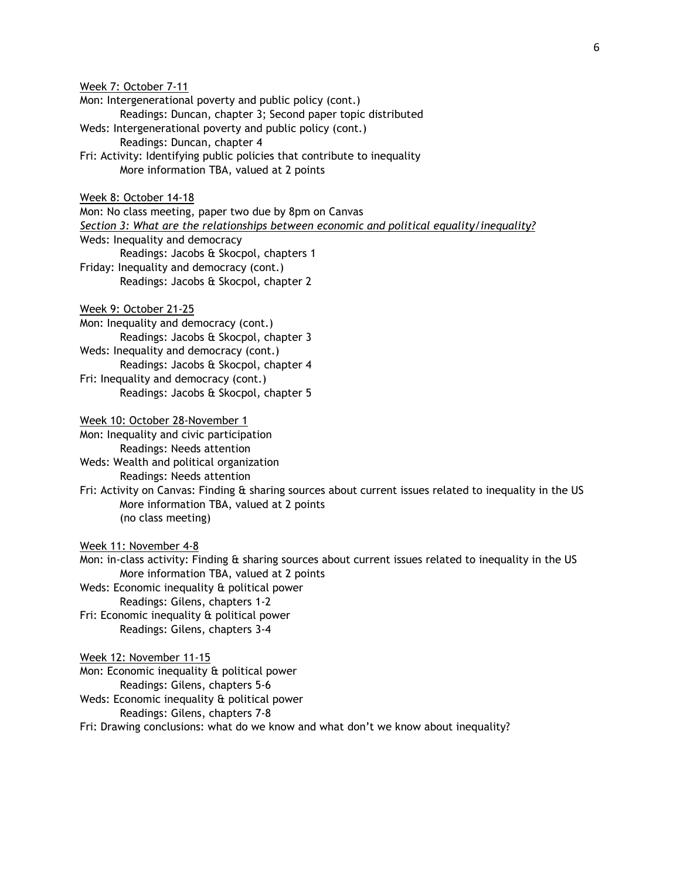Week 7: October 7-11 Mon: Intergenerational poverty and public policy (cont.) Readings: Duncan, chapter 3; Second paper topic distributed Weds: Intergenerational poverty and public policy (cont.) Readings: Duncan, chapter 4 Fri: Activity: Identifying public policies that contribute to inequality More information TBA, valued at 2 points Week 8: October 14-18 Mon: No class meeting, paper two due by 8pm on Canvas *Section 3: What are the relationships between economic and political equality/inequality?* Weds: Inequality and democracy Readings: Jacobs & Skocpol, chapters 1 Friday: Inequality and democracy (cont.) Readings: Jacobs & Skocpol, chapter 2 Week 9: October 21-25 Mon: Inequality and democracy (cont.) Readings: Jacobs & Skocpol, chapter 3 Weds: Inequality and democracy (cont.) Readings: Jacobs & Skocpol, chapter 4 Fri: Inequality and democracy (cont.) Readings: Jacobs & Skocpol, chapter 5 Week 10: October 28-November 1 Mon: Inequality and civic participation Readings: Needs attention Weds: Wealth and political organization Readings: Needs attention Fri: Activity on Canvas: Finding & sharing sources about current issues related to inequality in the US More information TBA, valued at 2 points (no class meeting) Week 11: November 4-8 Mon: in-class activity: Finding & sharing sources about current issues related to inequality in the US More information TBA, valued at 2 points Weds: Economic inequality & political power Readings: Gilens, chapters 1-2 Fri: Economic inequality & political power Readings: Gilens, chapters 3-4 Week 12: November 11-15 Mon: Economic inequality & political power Readings: Gilens, chapters 5-6 Weds: Economic inequality & political power

Readings: Gilens, chapters 7-8

Fri: Drawing conclusions: what do we know and what don't we know about inequality?